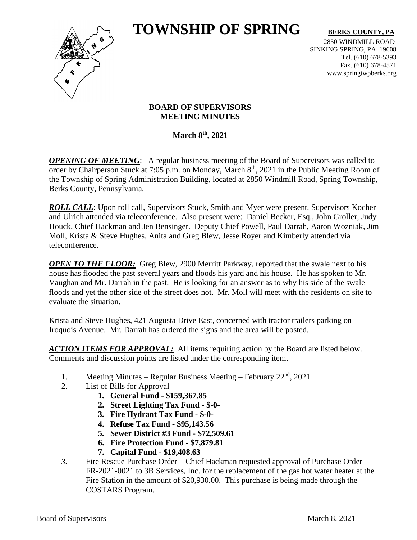# **TOWNSHIP OF SPRING** BERKS COUNTY, PA



2850 WINDMILL ROAD SINKING SPRING, PA 19608 Tel. (610) 678-5393 Fax. (610) 678-4571 www.springtwpberks.org

#### **BOARD OF SUPERVISORS MEETING MINUTES**

**March 8th , 2021**

*OPENING OF MEETING*: A regular business meeting of the Board of Supervisors was called to order by Chairperson Stuck at 7:05 p.m. on Monday, March 8<sup>th</sup>, 2021 in the Public Meeting Room of the Township of Spring Administration Building, located at 2850 Windmill Road, Spring Township, Berks County, Pennsylvania.

**ROLL CALL**: Upon roll call, Supervisors Stuck, Smith and Myer were present. Supervisors Kocher and Ulrich attended via teleconference. Also present were: Daniel Becker, Esq., John Groller, Judy Houck, Chief Hackman and Jen Bensinger. Deputy Chief Powell, Paul Darrah, Aaron Wozniak, Jim Moll, Krista & Steve Hughes, Anita and Greg Blew, Jesse Royer and Kimberly attended via teleconference.

*OPEN TO THE FLOOR:* Greg Blew, 2900 Merritt Parkway, reported that the swale next to his house has flooded the past several years and floods his yard and his house. He has spoken to Mr. Vaughan and Mr. Darrah in the past. He is looking for an answer as to why his side of the swale floods and yet the other side of the street does not. Mr. Moll will meet with the residents on site to evaluate the situation.

Krista and Steve Hughes, 421 Augusta Drive East, concerned with tractor trailers parking on Iroquois Avenue. Mr. Darrah has ordered the signs and the area will be posted.

*ACTION ITEMS FOR APPROVAL:* All items requiring action by the Board are listed below. Comments and discussion points are listed under the corresponding item.

- 1. Meeting Minutes Regular Business Meeting February  $22<sup>nd</sup>$ ,  $2021$
- 2. List of Bills for Approval
	- **1. General Fund - \$159,367.85**
	- **2. Street Lighting Tax Fund - \$-0-**
	- **3. Fire Hydrant Tax Fund - \$-0-**
	- **4. Refuse Tax Fund - \$95,143.56**
	- **5. Sewer District #3 Fund - \$72,509.61**
	- **6. Fire Protection Fund - \$7,879.81**
	- **7. Capital Fund - \$19,408.63**
- *3.* Fire Rescue Purchase Order Chief Hackman requested approval of Purchase Order FR-2021-0021 to 3B Services, Inc. for the replacement of the gas hot water heater at the Fire Station in the amount of \$20,930.00. This purchase is being made through the COSTARS Program.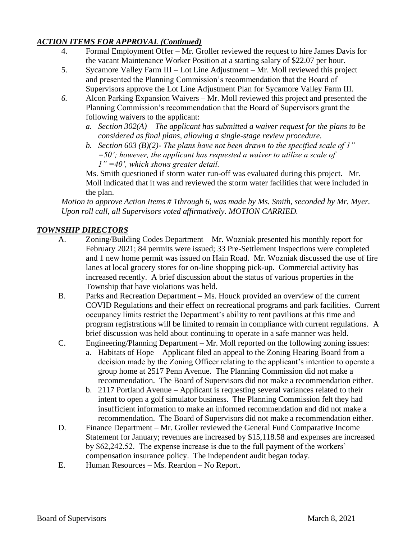## *ACTION ITEMS FOR APPROVAL (Continued)*

- 4. Formal Employment Offer Mr. Groller reviewed the request to hire James Davis for the vacant Maintenance Worker Position at a starting salary of \$22.07 per hour.
- 5. Sycamore Valley Farm III Lot Line Adjustment Mr. Moll reviewed this project and presented the Planning Commission's recommendation that the Board of Supervisors approve the Lot Line Adjustment Plan for Sycamore Valley Farm III.
- *6.* Alcon Parking Expansion Waivers Mr. Moll reviewed this project and presented the Planning Commission's recommendation that the Board of Supervisors grant the following waivers to the applicant:
	- *a. Section 302(A) – The applicant has submitted a waiver request for the plans to be considered as final plans, allowing a single-stage review procedure.*
	- *b. Section 603 (B)(2)- The plans have not been drawn to the specified scale of 1" =50'; however, the applicant has requested a waiver to utilize a scale of 1" =40', which shows greater detail.*

Ms. Smith questioned if storm water run-off was evaluated during this project. Mr. Moll indicated that it was and reviewed the storm water facilities that were included in the plan.

*Motion to approve Action Items # 1through 6, was made by Ms. Smith, seconded by Mr. Myer. Upon roll call, all Supervisors voted affirmatively. MOTION CARRIED.*

# *TOWNSHIP DIRECTORS*

- A. Zoning/Building Codes Department Mr. Wozniak presented his monthly report for February 2021; 84 permits were issued; 33 Pre-Settlement Inspections were completed and 1 new home permit was issued on Hain Road. Mr. Wozniak discussed the use of fire lanes at local grocery stores for on-line shopping pick-up. Commercial activity has increased recently. A brief discussion about the status of various properties in the Township that have violations was held.
- B. Parks and Recreation Department Ms. Houck provided an overview of the current COVID Regulations and their effect on recreational programs and park facilities. Current occupancy limits restrict the Department's ability to rent pavilions at this time and program registrations will be limited to remain in compliance with current regulations. A brief discussion was held about continuing to operate in a safe manner was held.
- C. Engineering/Planning Department Mr. Moll reported on the following zoning issues:
	- a. Habitats of Hope Applicant filed an appeal to the Zoning Hearing Board from a decision made by the Zoning Officer relating to the applicant's intention to operate a group home at 2517 Penn Avenue. The Planning Commission did not make a recommendation. The Board of Supervisors did not make a recommendation either.
	- b. 2117 Portland Avenue Applicant is requesting several variances related to their intent to open a golf simulator business. The Planning Commission felt they had insufficient information to make an informed recommendation and did not make a recommendation. The Board of Supervisors did not make a recommendation either.
- D. Finance Department Mr. Groller reviewed the General Fund Comparative Income Statement for January; revenues are increased by \$15,118.58 and expenses are increased by \$62,242.52. The expense increase is due to the full payment of the workers' compensation insurance policy. The independent audit began today.
- E. Human Resources Ms. Reardon No Report.